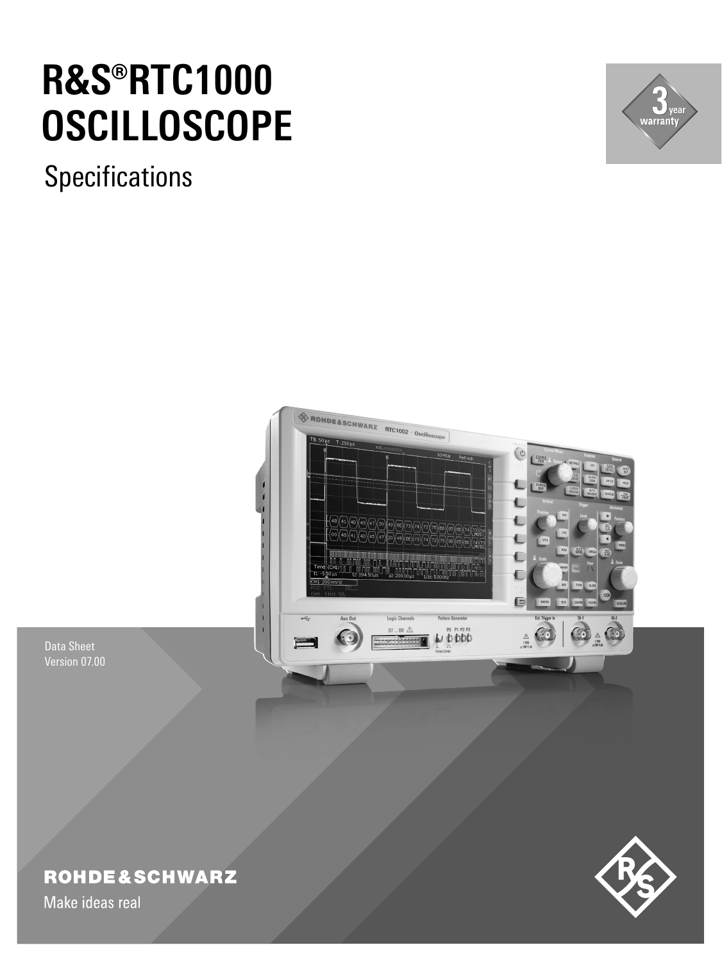# **R&S®RTC1000 OSCILLOSCOPE**

**Specifications** 





Data Sheet Version 07.00

# **ROHDE&SCHWARZ**

Make ideas real

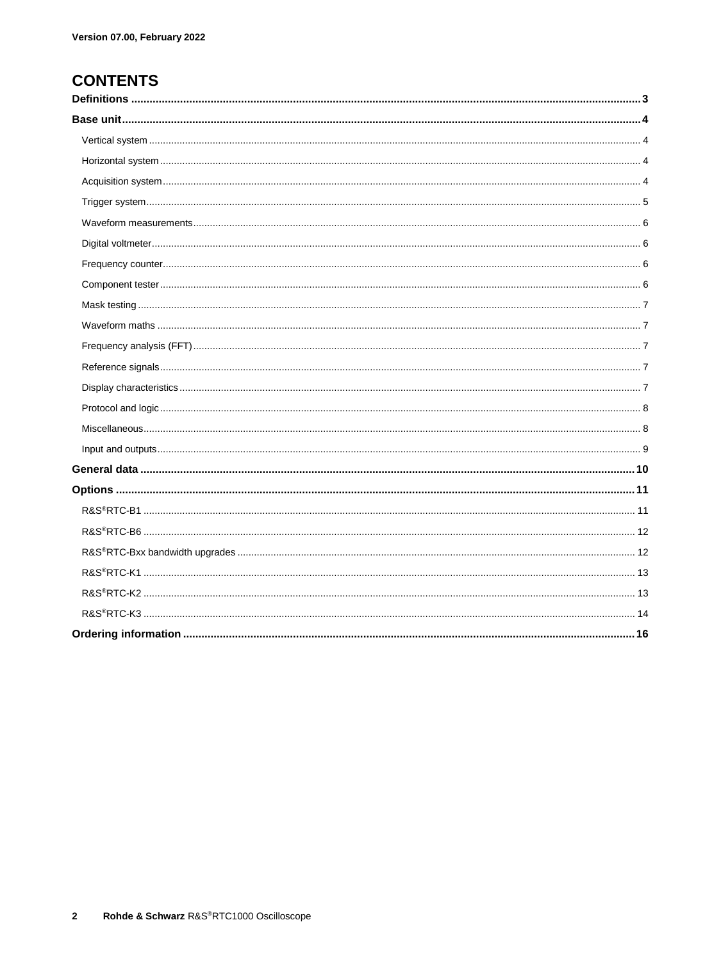### **CONTENTS**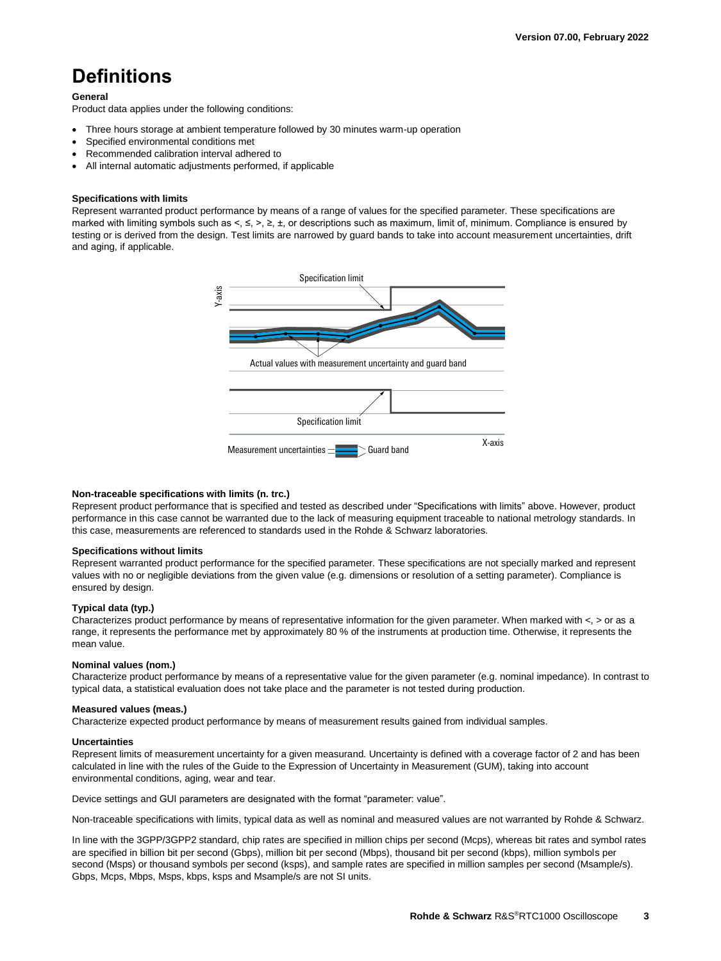# <span id="page-2-0"></span>**Definitions**

#### **General**

Product data applies under the following conditions:

- Three hours storage at ambient temperature followed by 30 minutes warm-up operation
- Specified environmental conditions met
- Recommended calibration interval adhered to
- All internal automatic adjustments performed, if applicable

#### **Specifications with limits**

Represent warranted product performance by means of a range of values for the specified parameter. These specifications are marked with limiting symbols such as <, ≤, >, ≥, ±, or descriptions such as maximum, limit of, minimum. Compliance is ensured by testing or is derived from the design. Test limits are narrowed by guard bands to take into account measurement uncertainties, drift and aging, if applicable.



#### **Non-traceable specifications with limits (n. trc.)**

Represent product performance that is specified and tested as described under "Specifications with limits" above. However, product performance in this case cannot be warranted due to the lack of measuring equipment traceable to national metrology standards. In this case, measurements are referenced to standards used in the Rohde & Schwarz laboratories.

#### **Specifications without limits**

Represent warranted product performance for the specified parameter. These specifications are not specially marked and represent values with no or negligible deviations from the given value (e.g. dimensions or resolution of a setting parameter). Compliance is ensured by design.

#### **Typical data (typ.)**

Characterizes product performance by means of representative information for the given parameter. When marked with  $\lt$ ,  $>$  or as a range, it represents the performance met by approximately 80 % of the instruments at production time. Otherwise, it represents the mean value.

#### **Nominal values (nom.)**

Characterize product performance by means of a representative value for the given parameter (e.g. nominal impedance). In contrast to typical data, a statistical evaluation does not take place and the parameter is not tested during production.

#### **Measured values (meas.)**

Characterize expected product performance by means of measurement results gained from individual samples.

#### **Uncertainties**

Represent limits of measurement uncertainty for a given measurand. Uncertainty is defined with a coverage factor of 2 and has been calculated in line with the rules of the Guide to the Expression of Uncertainty in Measurement (GUM), taking into account environmental conditions, aging, wear and tear.

Device settings and GUI parameters are designated with the format "parameter: value".

Non-traceable specifications with limits, typical data as well as nominal and measured values are not warranted by Rohde & Schwarz.

In line with the 3GPP/3GPP2 standard, chip rates are specified in million chips per second (Mcps), whereas bit rates and symbol rates are specified in billion bit per second (Gbps), million bit per second (Mbps), thousand bit per second (kbps), million symbols per second (Msps) or thousand symbols per second (ksps), and sample rates are specified in million samples per second (Msample/s). Gbps, Mcps, Mbps, Msps, kbps, ksps and Msample/s are not SI units.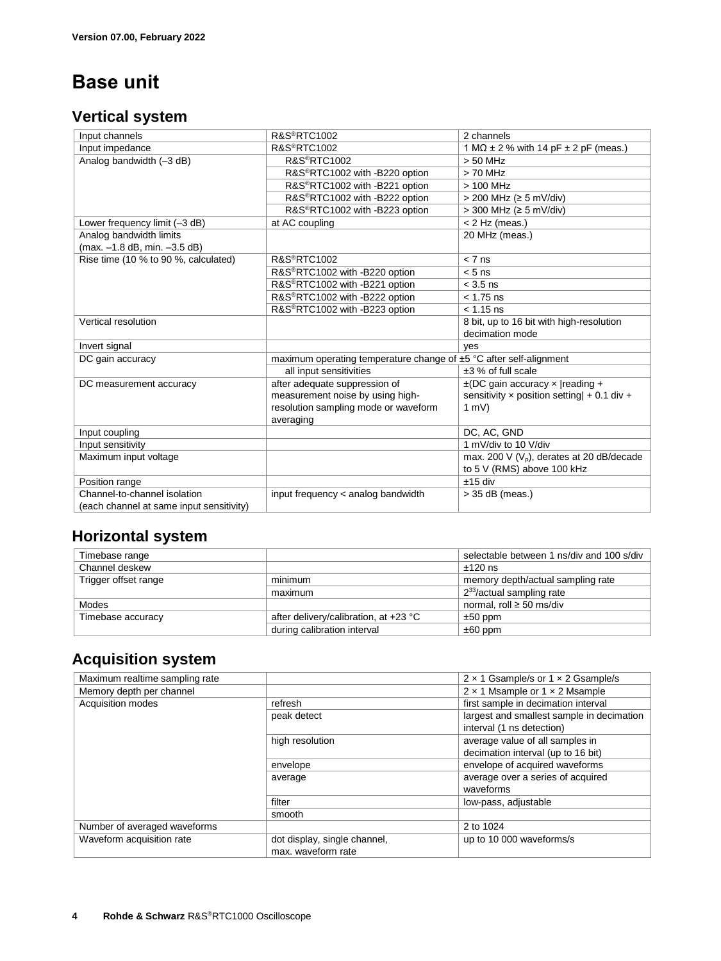# <span id="page-3-0"></span>**Base unit**

#### <span id="page-3-1"></span>**Vertical system**

| Input channels                                          | <b>R&amp;S®RTC1002</b>                                                  | 2 channels                                       |
|---------------------------------------------------------|-------------------------------------------------------------------------|--------------------------------------------------|
| Input impedance                                         | <b>R&amp;S®RTC1002</b>                                                  | 1 M $\Omega$ ± 2 % with 14 pF $\pm$ 2 pF (meas.) |
| Analog bandwidth (-3 dB)                                | <b>R&amp;S®RTC1002</b>                                                  | $> 50$ MHz                                       |
|                                                         | R&S®RTC1002 with -B220 option                                           | $> 70$ MHz                                       |
|                                                         | R&S®RTC1002 with -B221 option                                           | $> 100$ MHz                                      |
|                                                         | R&S®RTC1002 with -B222 option                                           | $>$ 200 MHz ( $\geq$ 5 mV/div)                   |
|                                                         | R&S <sup>®</sup> RTC1002 with -B223 option                              | $>$ 300 MHz ( $\geq$ 5 mV/div)                   |
| Lower frequency limit (-3 dB)                           | at AC coupling                                                          | $< 2$ Hz (meas.)                                 |
| Analog bandwidth limits<br>(max. -1.8 dB, min. -3.5 dB) |                                                                         | 20 MHz (meas.)                                   |
| Rise time (10 % to 90 %, calculated)                    | <b>R&amp;S®RTC1002</b>                                                  | $< 7$ ns                                         |
|                                                         | R&S®RTC1002 with -B220 option                                           | $< 5$ ns                                         |
|                                                         | R&S®RTC1002 with -B221 option                                           | $<$ 3.5 ns                                       |
|                                                         | R&S®RTC1002 with -B222 option                                           | $< 1.75$ ns                                      |
|                                                         | R&S®RTC1002 with -B223 option                                           | $< 1.15$ ns                                      |
| Vertical resolution                                     |                                                                         | 8 bit, up to 16 bit with high-resolution         |
|                                                         |                                                                         | decimation mode                                  |
| Invert signal                                           |                                                                         | yes                                              |
| DC gain accuracy                                        | maximum operating temperature change of $\pm 5$ °C after self-alignment |                                                  |
|                                                         | all input sensitivities                                                 | $±3$ % of full scale                             |
| DC measurement accuracy                                 | after adequate suppression of                                           | $\pm$ (DC gain accuracy x   reading +            |
|                                                         | measurement noise by using high-                                        | sensitivity x position setting $  + 0.1$ div $+$ |
|                                                         | resolution sampling mode or waveform                                    | 1 mV                                             |
|                                                         | averaging                                                               |                                                  |
| Input coupling                                          |                                                                         | DC, AC, GND                                      |
| Input sensitivity                                       |                                                                         | 1 mV/div to 10 V/div                             |
| Maximum input voltage                                   |                                                                         | max. 200 V $(V_p)$ , derates at 20 dB/decade     |
|                                                         |                                                                         | to 5 V (RMS) above 100 kHz                       |
| Position range                                          |                                                                         | $±15$ div                                        |
| Channel-to-channel isolation                            | input frequency < analog bandwidth                                      | $>$ 35 dB (meas.)                                |
| (each channel at same input sensitivity)                |                                                                         |                                                  |

#### <span id="page-3-2"></span>**Horizontal system**

| Timebase range       |                                         | selectable between 1 ns/div and 100 s/div |
|----------------------|-----------------------------------------|-------------------------------------------|
| Channel deskew       |                                         | $±120$ ns                                 |
| Trigger offset range | minimum                                 | memory depth/actual sampling rate         |
|                      | maximum                                 | 2 <sup>33</sup> /actual sampling rate     |
| Modes                |                                         | normal, roll $\geq$ 50 ms/div             |
| Timebase accuracy    | after delivery/calibration, at $+23$ °C | $±50$ ppm                                 |
|                      | during calibration interval             | $±60$ ppm                                 |

### <span id="page-3-3"></span>**Acquisition system**

| Maximum realtime sampling rate |                              | $2 \times 1$ Gsample/s or $1 \times 2$ Gsample/s |
|--------------------------------|------------------------------|--------------------------------------------------|
| Memory depth per channel       |                              | 2 x 1 Msample or 1 x 2 Msample                   |
| Acquisition modes              | refresh                      | first sample in decimation interval              |
|                                | peak detect                  | largest and smallest sample in decimation        |
|                                |                              | interval (1 ns detection)                        |
|                                | high resolution              | average value of all samples in                  |
|                                |                              | decimation interval (up to 16 bit)               |
|                                | envelope                     | envelope of acquired waveforms                   |
|                                | average                      | average over a series of acquired                |
|                                |                              | waveforms                                        |
|                                | filter                       | low-pass, adjustable                             |
|                                | smooth                       |                                                  |
| Number of averaged waveforms   |                              | 2 to 1024                                        |
| Waveform acquisition rate      | dot display, single channel, | up to 10 000 waveforms/s                         |
|                                | max. waveform rate           |                                                  |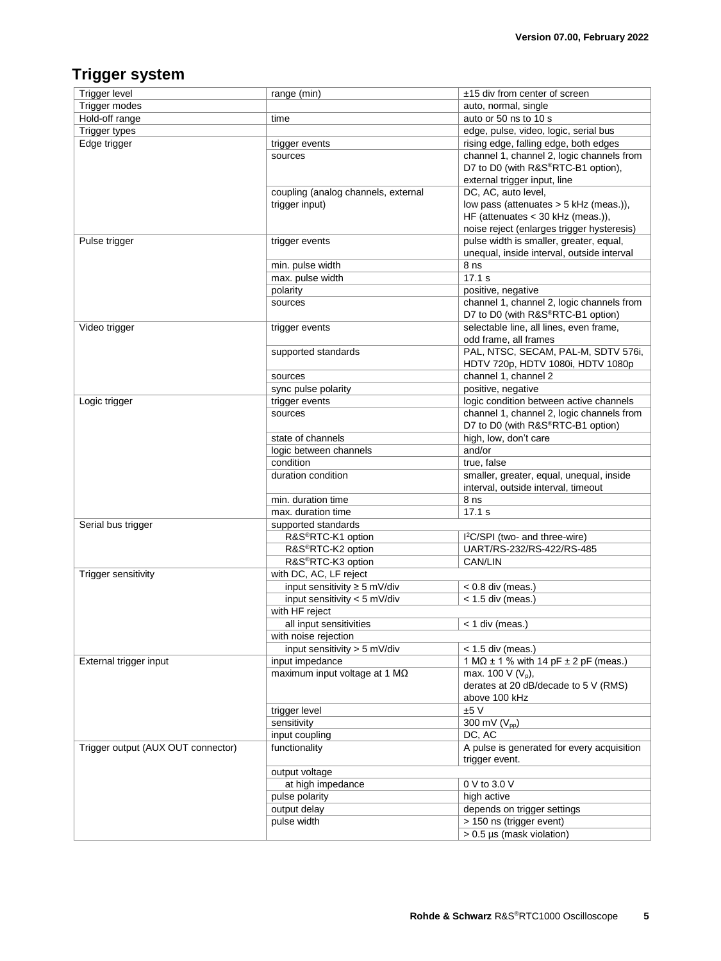### <span id="page-4-0"></span>**Trigger system**

| <b>Trigger level</b>               | range (min)                              | ±15 div from center of screen                    |
|------------------------------------|------------------------------------------|--------------------------------------------------|
| Trigger modes                      |                                          | auto, normal, single                             |
| Hold-off range                     | time                                     | auto or 50 ns to 10 s                            |
| <b>Trigger types</b>               |                                          | edge, pulse, video, logic, serial bus            |
| Edge trigger                       | trigger events                           | rising edge, falling edge, both edges            |
|                                    | sources                                  | channel 1, channel 2, logic channels from        |
|                                    |                                          | D7 to D0 (with R&S®RTC-B1 option),               |
|                                    |                                          | external trigger input, line                     |
|                                    | coupling (analog channels, external      | DC, AC, auto level,                              |
|                                    | trigger input)                           | low pass (attenuates > 5 kHz (meas.)),           |
|                                    |                                          | HF (attenuates < 30 kHz (meas.)),                |
|                                    |                                          | noise reject (enlarges trigger hysteresis)       |
| Pulse trigger                      | trigger events                           | pulse width is smaller, greater, equal,          |
|                                    |                                          | unequal, inside interval, outside interval       |
|                                    | min. pulse width                         | 8 <sub>ns</sub>                                  |
|                                    | max. pulse width                         | 17.1 s                                           |
|                                    | polarity                                 | positive, negative                               |
|                                    | sources                                  | channel 1, channel 2, logic channels from        |
|                                    |                                          | D7 to D0 (with R&S®RTC-B1 option)                |
| Video trigger                      | trigger events                           | selectable line, all lines, even frame,          |
|                                    |                                          | odd frame, all frames                            |
|                                    | supported standards                      | PAL, NTSC, SECAM, PAL-M, SDTV 576i,              |
|                                    |                                          | HDTV 720p, HDTV 1080i, HDTV 1080p                |
|                                    | sources                                  | channel 1, channel 2                             |
|                                    | sync pulse polarity                      | positive, negative                               |
| Logic trigger                      | trigger events                           | logic condition between active channels          |
|                                    | sources                                  | channel 1, channel 2, logic channels from        |
|                                    |                                          | D7 to D0 (with R&S®RTC-B1 option)                |
|                                    | state of channels                        | high, low, don't care                            |
|                                    | logic between channels                   | and/or                                           |
|                                    | condition                                | true, false                                      |
|                                    | duration condition                       | smaller, greater, equal, unequal, inside         |
|                                    |                                          | interval, outside interval, timeout              |
|                                    |                                          |                                                  |
|                                    | min. duration time<br>max. duration time | 8 <sub>ns</sub><br>17.1 s                        |
|                                    |                                          |                                                  |
| Serial bus trigger                 | supported standards                      |                                                  |
|                                    | R&S®RTC-K1 option                        | I <sup>2</sup> C/SPI (two- and three-wire)       |
|                                    | R&S®RTC-K2 option<br>R&S®RTC-K3 option   | UART/RS-232/RS-422/RS-485<br>CAN/LIN             |
|                                    | with DC, AC, LF reject                   |                                                  |
| Trigger sensitivity                |                                          | $< 0.8$ div (meas.)                              |
|                                    | input sensitivity ≥ 5 mV/div             |                                                  |
|                                    | input sensitivity < 5 mV/div             | $<$ 1.5 div (meas.)                              |
|                                    | with HF reject                           |                                                  |
|                                    | all input sensitivities                  | < 1 div (meas.)                                  |
|                                    | with noise rejection                     |                                                  |
|                                    | input sensitivity $>$ 5 mV/div           | $<$ 1.5 div (meas.)                              |
| External trigger input             | input impedance                          | 1 M $\Omega$ ± 1 % with 14 pF $\pm$ 2 pF (meas.) |
|                                    | maximum input voltage at 1 $M\Omega$     | max. 100 V $(V_p)$ ,                             |
|                                    |                                          | derates at 20 dB/decade to 5 V (RMS)             |
|                                    |                                          | above 100 kHz                                    |
|                                    | trigger level                            | ±5V                                              |
|                                    | sensitivity                              | 300 mV (V <sub>pp</sub> )                        |
|                                    | input coupling                           | DC, AC                                           |
| Trigger output (AUX OUT connector) | functionality                            | A pulse is generated for every acquisition       |
|                                    |                                          | trigger event.                                   |
|                                    | output voltage                           |                                                  |
|                                    | at high impedance                        | 0 V to 3.0 V                                     |
|                                    | pulse polarity                           | high active                                      |
|                                    | output delay                             | depends on trigger settings                      |
|                                    | pulse width                              | > 150 ns (trigger event)                         |
|                                    |                                          | > 0.5 µs (mask violation)                        |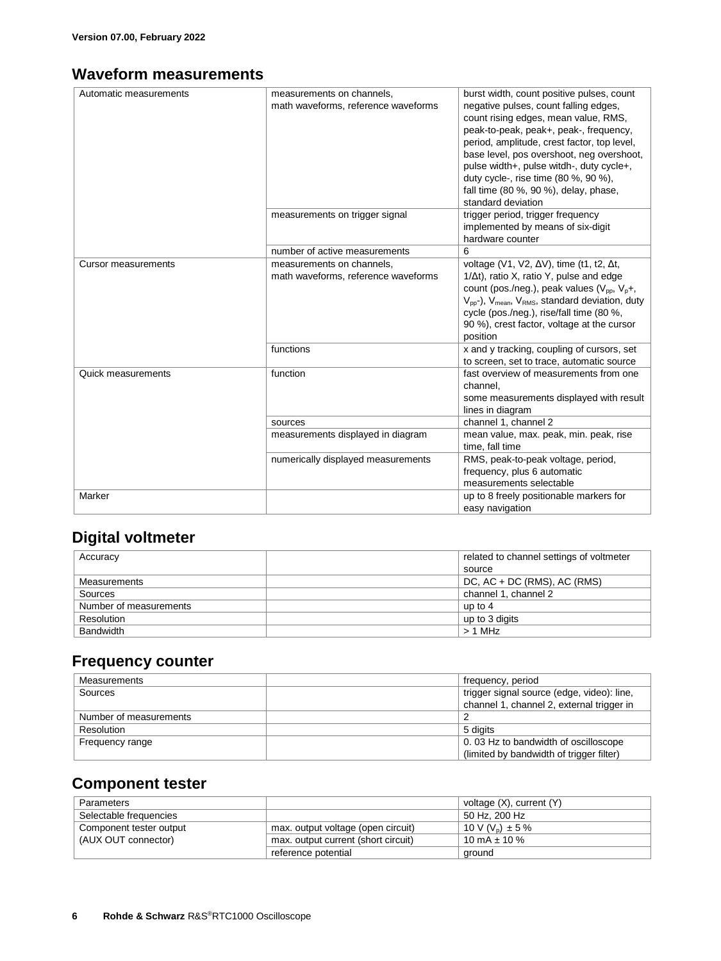### <span id="page-5-0"></span>**Waveform measurements**

| Automatic measurements     | measurements on channels,<br>math waveforms, reference waveforms | burst width, count positive pulses, count<br>negative pulses, count falling edges,<br>count rising edges, mean value, RMS,<br>peak-to-peak, peak+, peak-, frequency,<br>period, amplitude, crest factor, top level,<br>base level, pos overshoot, neg overshoot,<br>pulse width+, pulse witdh-, duty cycle+,<br>duty cycle-, rise time (80 %, 90 %),<br>fall time (80 %, 90 %), delay, phase,<br>standard deviation |
|----------------------------|------------------------------------------------------------------|---------------------------------------------------------------------------------------------------------------------------------------------------------------------------------------------------------------------------------------------------------------------------------------------------------------------------------------------------------------------------------------------------------------------|
|                            | measurements on trigger signal                                   | trigger period, trigger frequency<br>implemented by means of six-digit<br>hardware counter                                                                                                                                                                                                                                                                                                                          |
|                            | number of active measurements                                    | 6                                                                                                                                                                                                                                                                                                                                                                                                                   |
| <b>Cursor measurements</b> | measurements on channels,<br>math waveforms, reference waveforms | voltage (V1, V2, $\Delta V$ ), time (t1, t2, $\Delta t$ ,<br>$1/\Delta t$ , ratio X, ratio Y, pulse and edge<br>count (pos./neg.), peak values ( $V_{\text{pp}}$ , $V_{\text{p}}+$ ,<br>$V_{pp}$ -), $V_{mean}$ , $V_{RMS}$ , standard deviation, duty<br>cycle (pos./neg.), rise/fall time (80 %,<br>90 %), crest factor, voltage at the cursor<br>position                                                        |
|                            | functions                                                        | x and y tracking, coupling of cursors, set<br>to screen, set to trace, automatic source                                                                                                                                                                                                                                                                                                                             |
| Quick measurements         | function                                                         | fast overview of measurements from one<br>channel.<br>some measurements displayed with result<br>lines in diagram                                                                                                                                                                                                                                                                                                   |
|                            | sources                                                          | channel 1, channel 2                                                                                                                                                                                                                                                                                                                                                                                                |
|                            | measurements displayed in diagram                                | mean value, max. peak, min. peak, rise<br>time, fall time                                                                                                                                                                                                                                                                                                                                                           |
|                            | numerically displayed measurements                               | RMS, peak-to-peak voltage, period,<br>frequency, plus 6 automatic<br>measurements selectable                                                                                                                                                                                                                                                                                                                        |
| Marker                     |                                                                  | up to 8 freely positionable markers for<br>easy navigation                                                                                                                                                                                                                                                                                                                                                          |

### <span id="page-5-1"></span>**Digital voltmeter**

| Accuracy               | related to channel settings of voltmeter |
|------------------------|------------------------------------------|
|                        | source                                   |
| Measurements           | DC, $AC + DC$ (RMS), $AC$ (RMS)          |
| Sources                | channel 1, channel 2                     |
| Number of measurements | up to $4$                                |
| Resolution             | up to 3 digits                           |
| Bandwidth              | $> 1$ MHz                                |

#### <span id="page-5-2"></span>**Frequency counter**

| Measurements           | frequency, period                          |
|------------------------|--------------------------------------------|
| Sources                | trigger signal source (edge, video): line, |
|                        | channel 1, channel 2, external trigger in  |
| Number of measurements |                                            |
| Resolution             | 5 digits                                   |
| Frequency range        | 0.03 Hz to bandwidth of oscilloscope       |
|                        | (limited by bandwidth of trigger filter)   |

#### <span id="page-5-3"></span>**Component tester**

| Parameters              |                                     | voltage $(X)$ , current $(Y)$    |
|-------------------------|-------------------------------------|----------------------------------|
| Selectable frequencies  |                                     | 50 Hz. 200 Hz                    |
| Component tester output | max. output voltage (open circuit)  | 10 V (V <sub>n</sub> ) $\pm$ 5 % |
| (AUX OUT connector)     | max. output current (short circuit) | 10 mA $\pm$ 10 %                 |
|                         | reference potential                 | ground                           |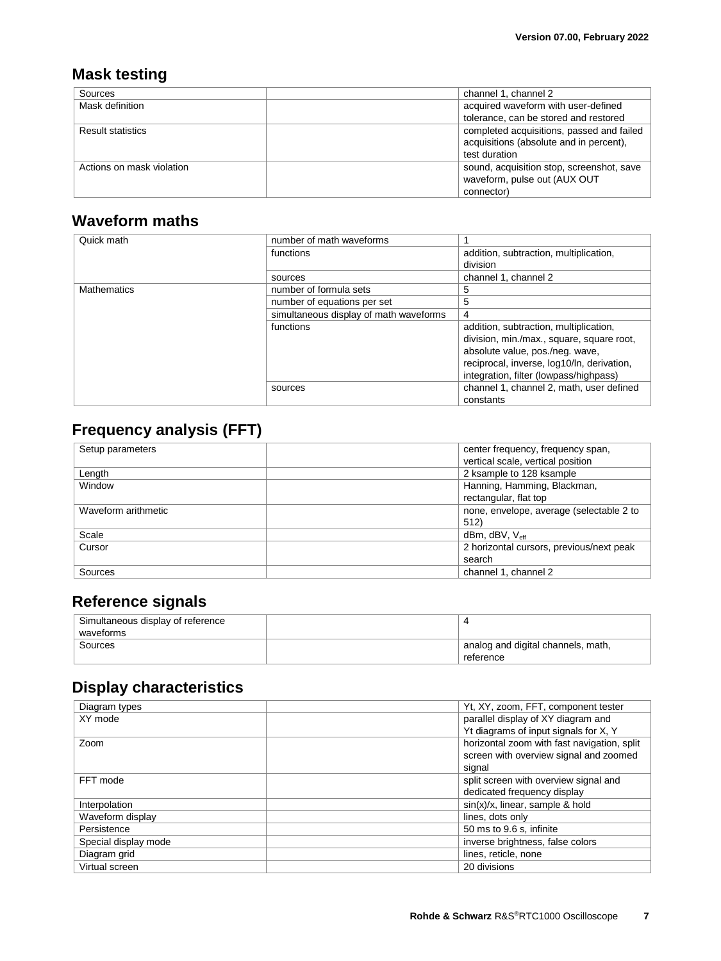### <span id="page-6-0"></span>**Mask testing**

| Sources                   | channel 1, channel 2                      |
|---------------------------|-------------------------------------------|
| Mask definition           | acquired waveform with user-defined       |
|                           | tolerance, can be stored and restored     |
| <b>Result statistics</b>  | completed acquisitions, passed and failed |
|                           | acquisitions (absolute and in percent),   |
|                           | test duration                             |
| Actions on mask violation | sound, acquisition stop, screenshot, save |
|                           | waveform, pulse out (AUX OUT              |
|                           | connector)                                |

### <span id="page-6-1"></span>**Waveform maths**

| Quick math  | number of math waveforms               |                                            |
|-------------|----------------------------------------|--------------------------------------------|
|             |                                        |                                            |
|             | functions                              | addition, subtraction, multiplication,     |
|             |                                        | division                                   |
|             | sources                                | channel 1, channel 2                       |
| Mathematics | number of formula sets                 | 5                                          |
|             | number of equations per set            | 5                                          |
|             | simultaneous display of math waveforms | 4                                          |
|             | functions                              | addition, subtraction, multiplication,     |
|             |                                        | division, min./max., square, square root,  |
|             |                                        | absolute value, pos./neg. wave,            |
|             |                                        | reciprocal, inverse, log10/ln, derivation, |
|             |                                        | integration, filter (lowpass/highpass)     |
|             | sources                                | channel 1, channel 2, math, user defined   |
|             |                                        | constants                                  |

### <span id="page-6-2"></span>**Frequency analysis (FFT)**

| Setup parameters    | center frequency, frequency span,<br>vertical scale, vertical position |
|---------------------|------------------------------------------------------------------------|
| Length              | 2 ksample to 128 ksample                                               |
| Window              | Hanning, Hamming, Blackman,                                            |
|                     | rectangular, flat top                                                  |
| Waveform arithmetic | none, envelope, average (selectable 2 to                               |
|                     | 512)                                                                   |
| Scale               | $dBm$ , $dBV$ , $V_{\text{eff}}$                                       |
| Cursor              | 2 horizontal cursors, previous/next peak                               |
|                     | search                                                                 |
| Sources             | channel 1, channel 2                                                   |

### <span id="page-6-3"></span>**Reference signals**

| Simultaneous display of reference |                                    |
|-----------------------------------|------------------------------------|
| waveforms                         |                                    |
| Sources                           | analog and digital channels, math, |
|                                   | reference                          |

### <span id="page-6-4"></span>**Display characteristics**

| Diagram types        | Yt, XY, zoom, FFT, component tester         |
|----------------------|---------------------------------------------|
| XY mode              | parallel display of XY diagram and          |
|                      | Yt diagrams of input signals for X, Y       |
| Zoom                 | horizontal zoom with fast navigation, split |
|                      | screen with overview signal and zoomed      |
|                      | signal                                      |
| FFT mode             | split screen with overview signal and       |
|                      | dedicated frequency display                 |
| Interpolation        | $sin(x)/x$ , linear, sample & hold          |
| Waveform display     | lines, dots only                            |
| Persistence          | 50 ms to 9.6 s, infinite                    |
| Special display mode | inverse brightness, false colors            |
| Diagram grid         | lines, reticle, none                        |
| Virtual screen       | 20 divisions                                |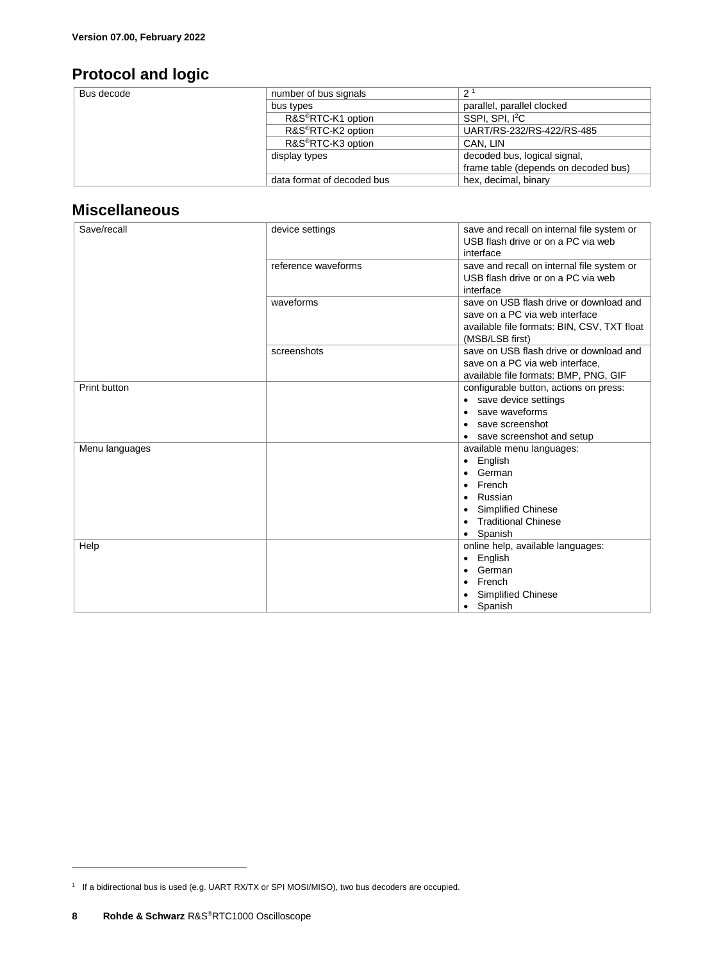### <span id="page-7-0"></span>**Protocol and logic**

| Bus decode | number of bus signals          | ົາ                                   |
|------------|--------------------------------|--------------------------------------|
|            | bus types                      | parallel, parallel clocked           |
|            | R&S <sup>®</sup> RTC-K1 option | SSPI, SPI, <sup>2</sup> C            |
|            | R&S <sup>®</sup> RTC-K2 option | UART/RS-232/RS-422/RS-485            |
|            | R&S <sup>®</sup> RTC-K3 option | CAN, LIN                             |
|            | display types                  | decoded bus, logical signal,         |
|            |                                | frame table (depends on decoded bus) |
|            | data format of decoded bus     | hex, decimal, binary                 |

#### <span id="page-7-1"></span>**Miscellaneous**

| Save/recall    | device settings     | save and recall on internal file system or<br>USB flash drive or on a PC via web<br>interface                                                  |
|----------------|---------------------|------------------------------------------------------------------------------------------------------------------------------------------------|
|                | reference waveforms | save and recall on internal file system or<br>USB flash drive or on a PC via web<br>interface                                                  |
|                | waveforms           | save on USB flash drive or download and<br>save on a PC via web interface<br>available file formats: BIN, CSV, TXT float<br>(MSB/LSB first)    |
|                | screenshots         | save on USB flash drive or download and<br>save on a PC via web interface,<br>available file formats: BMP, PNG, GIF                            |
| Print button   |                     | configurable button, actions on press:<br>• save device settings<br>save waveforms<br>save screenshot<br>save screenshot and setup             |
| Menu languages |                     | available menu languages:<br>English<br>German<br>French<br>٠<br>Russian<br><b>Simplified Chinese</b><br><b>Traditional Chinese</b><br>Spanish |
| Help           |                     | online help, available languages:<br>English<br>٠<br>German<br>French<br><b>Simplified Chinese</b><br>Spanish                                  |

 $\overline{a}$ 

<sup>1</sup> If a bidirectional bus is used (e.g. UART RX/TX or SPI MOSI/MISO), two bus decoders are occupied.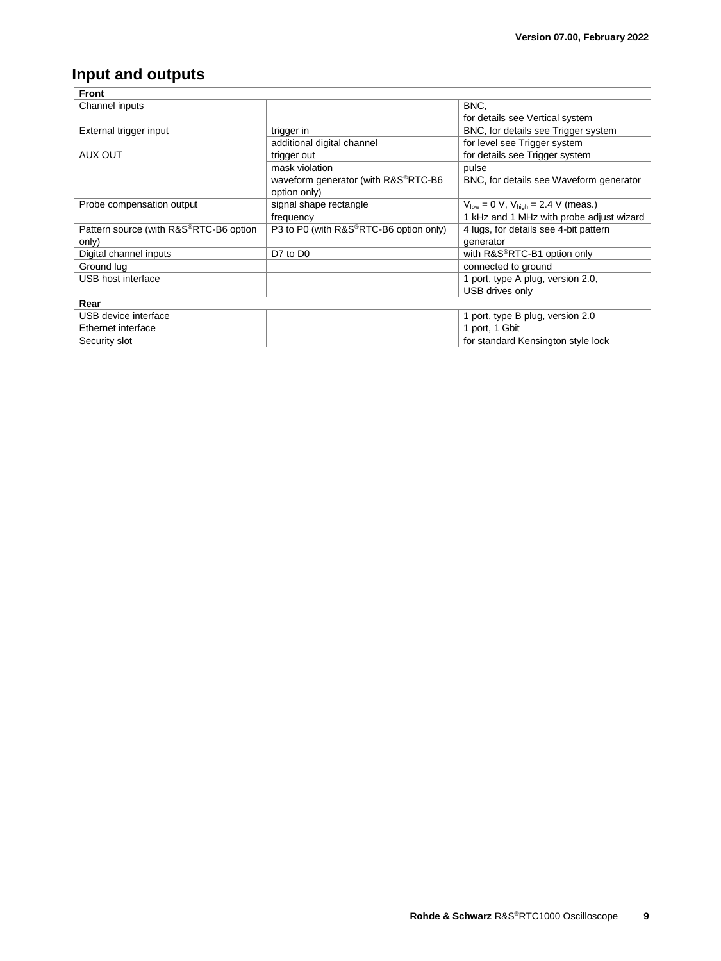### <span id="page-8-0"></span>**Input and outputs**

| <b>Front</b>                           |                                        |                                              |
|----------------------------------------|----------------------------------------|----------------------------------------------|
| Channel inputs                         |                                        | BNC,                                         |
|                                        |                                        | for details see Vertical system              |
| External trigger input                 | trigger in                             | BNC, for details see Trigger system          |
|                                        | additional digital channel             | for level see Trigger system                 |
| AUX OUT                                | trigger out                            | for details see Trigger system               |
|                                        | mask violation                         | pulse                                        |
|                                        | waveform generator (with R&S®RTC-B6    | BNC, for details see Waveform generator      |
|                                        | option only)                           |                                              |
| Probe compensation output              | signal shape rectangle                 | $V_{low} = 0 V$ , $V_{high} = 2.4 V$ (meas.) |
|                                        | frequency                              | 1 kHz and 1 MHz with probe adjust wizard     |
| Pattern source (with R&S®RTC-B6 option | P3 to P0 (with R&S®RTC-B6 option only) | 4 lugs, for details see 4-bit pattern        |
| only)                                  |                                        | generator                                    |
| Digital channel inputs                 | D7 to D0                               | with R&S <sup>®</sup> RTC-B1 option only     |
| Ground lug                             |                                        | connected to ground                          |
| USB host interface                     |                                        | 1 port, type A plug, version 2.0,            |
|                                        |                                        | USB drives only                              |
| Rear                                   |                                        |                                              |
| USB device interface                   |                                        | 1 port, type B plug, version 2.0             |
| Ethernet interface                     |                                        | 1 port, 1 Gbit                               |
| Security slot                          |                                        | for standard Kensington style lock           |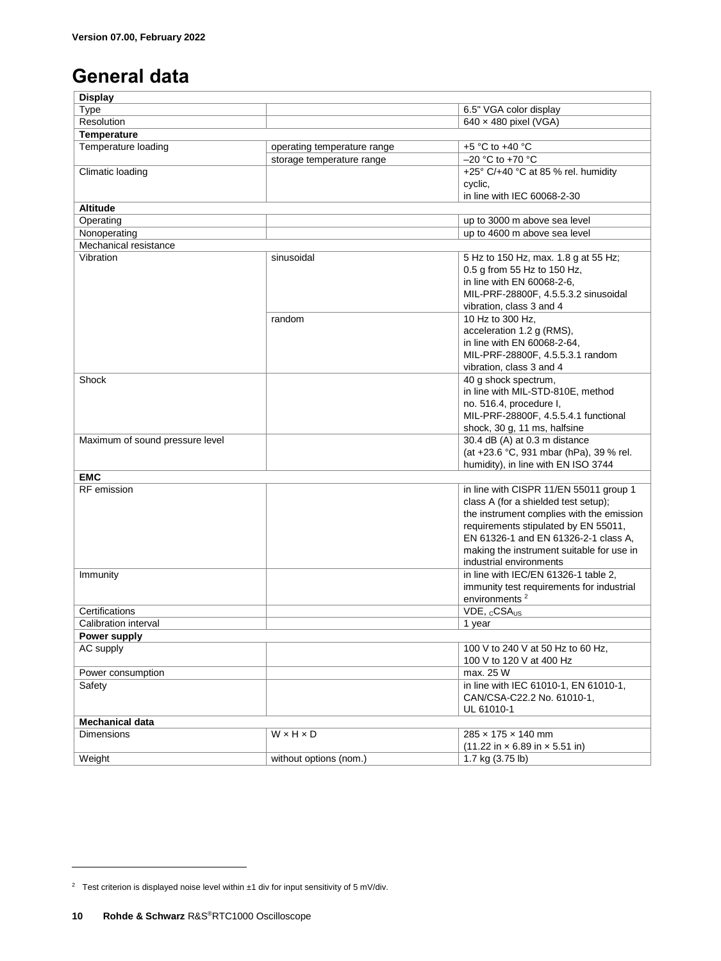# <span id="page-9-0"></span>**General data**

| <b>Display</b>                  |                             |                                                                    |
|---------------------------------|-----------------------------|--------------------------------------------------------------------|
| Type                            |                             | 6.5" VGA color display                                             |
| Resolution                      |                             | $640 \times 480$ pixel (VGA)                                       |
| <b>Temperature</b>              |                             |                                                                    |
| Temperature loading             | operating temperature range | +5 °C to +40 °C                                                    |
|                                 | storage temperature range   | $-20$ °C to +70 °C                                                 |
| Climatic loading                |                             | +25 $\degree$ C/+40 $\degree$ C at 85 % rel. humidity              |
|                                 |                             | cyclic,                                                            |
|                                 |                             | in line with IEC 60068-2-30                                        |
| <b>Altitude</b>                 |                             |                                                                    |
| Operating                       |                             | up to 3000 m above sea level                                       |
|                                 |                             |                                                                    |
| Nonoperating                    |                             | up to 4600 m above sea level                                       |
| Mechanical resistance           |                             |                                                                    |
| Vibration                       | sinusoidal                  | 5 Hz to 150 Hz, max. 1.8 g at 55 Hz;                               |
|                                 |                             | 0.5 g from 55 Hz to 150 Hz,                                        |
|                                 |                             | in line with EN 60068-2-6,                                         |
|                                 |                             | MIL-PRF-28800F, 4.5.5.3.2 sinusoidal                               |
|                                 |                             | vibration, class 3 and 4                                           |
|                                 | random                      | 10 Hz to 300 Hz,                                                   |
|                                 |                             | acceleration 1.2 g (RMS),                                          |
|                                 |                             | in line with EN 60068-2-64,                                        |
|                                 |                             | MIL-PRF-28800F, 4.5.5.3.1 random                                   |
|                                 |                             | vibration, class 3 and 4                                           |
| Shock                           |                             | 40 g shock spectrum,                                               |
|                                 |                             | in line with MIL-STD-810E, method                                  |
|                                 |                             | no. 516.4, procedure I,                                            |
|                                 |                             | MIL-PRF-28800F, 4.5.5.4.1 functional                               |
|                                 |                             | shock, 30 g, 11 ms, halfsine                                       |
| Maximum of sound pressure level |                             | 30.4 dB (A) at 0.3 m distance                                      |
|                                 |                             |                                                                    |
|                                 |                             | (at +23.6 °C, 931 mbar (hPa), 39 % rel.                            |
|                                 |                             | humidity), in line with EN ISO 3744                                |
| <b>EMC</b>                      |                             |                                                                    |
| <b>RF</b> emission              |                             | in line with CISPR 11/EN 55011 group 1                             |
|                                 |                             | class A (for a shielded test setup);                               |
|                                 |                             | the instrument complies with the emission                          |
|                                 |                             | requirements stipulated by EN 55011,                               |
|                                 |                             | EN 61326-1 and EN 61326-2-1 class A,                               |
|                                 |                             | making the instrument suitable for use in                          |
|                                 |                             | industrial environments                                            |
| Immunity                        |                             | in line with IEC/EN 61326-1 table 2,                               |
|                                 |                             | immunity test requirements for industrial                          |
|                                 |                             | environments <sup>2</sup>                                          |
| Certifications                  |                             | VDE, <sub>c</sub> CSA <sub>US</sub>                                |
| Calibration interval            |                             | 1 year                                                             |
| Power supply                    |                             |                                                                    |
| AC supply                       |                             | 100 V to 240 V at 50 Hz to 60 Hz,                                  |
|                                 |                             | 100 V to 120 V at 400 Hz                                           |
| Power consumption               |                             | max. 25 W                                                          |
| Safety                          |                             | in line with IEC 61010-1, EN 61010-1,                              |
|                                 |                             | CAN/CSA-C22.2 No. 61010-1,                                         |
|                                 |                             |                                                                    |
|                                 |                             | UL 61010-1                                                         |
| <b>Mechanical data</b>          |                             |                                                                    |
| Dimensions                      | WxHxD                       | 285 x 175 x 140 mm                                                 |
|                                 |                             | $(11.22 \text{ in} \times 6.89 \text{ in} \times 5.51 \text{ in})$ |
| Weight                          | without options (nom.)      | 1.7 kg (3.75 lb)                                                   |

 $\overline{a}$ 

<sup>&</sup>lt;sup>2</sup> Test criterion is displayed noise level within  $\pm 1$  div for input sensitivity of 5 mV/div.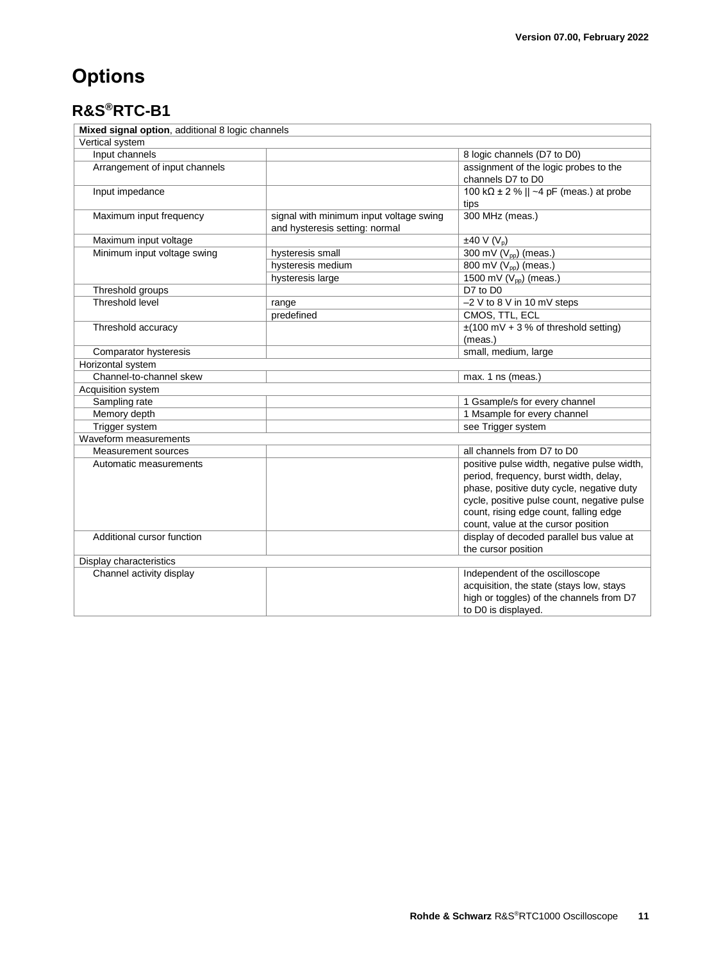# <span id="page-10-0"></span>**Options**

### <span id="page-10-1"></span>**R&S®RTC-B1**

| Mixed signal option, additional 8 logic channels |                                                                           |                                                                                                                                                                                                                                                                    |
|--------------------------------------------------|---------------------------------------------------------------------------|--------------------------------------------------------------------------------------------------------------------------------------------------------------------------------------------------------------------------------------------------------------------|
| Vertical system                                  |                                                                           |                                                                                                                                                                                                                                                                    |
| Input channels                                   |                                                                           | 8 logic channels (D7 to D0)                                                                                                                                                                                                                                        |
| Arrangement of input channels                    |                                                                           | assignment of the logic probes to the<br>channels D7 to D0                                                                                                                                                                                                         |
| Input impedance                                  |                                                                           | 100 k $\Omega$ ± 2 %    ~4 pF (meas.) at probe<br>tips                                                                                                                                                                                                             |
| Maximum input frequency                          | signal with minimum input voltage swing<br>and hysteresis setting: normal | 300 MHz (meas.)                                                                                                                                                                                                                                                    |
| Maximum input voltage                            |                                                                           | $±40 V (V_p)$                                                                                                                                                                                                                                                      |
| Minimum input voltage swing                      | hysteresis small                                                          | 300 mV (V <sub>pp</sub> ) (meas.)                                                                                                                                                                                                                                  |
|                                                  | hysteresis medium                                                         | 800 mV (V <sub>pp</sub> ) (meas.)                                                                                                                                                                                                                                  |
|                                                  | hysteresis large                                                          | 1500 mV (V <sub>pp</sub> ) (meas.)                                                                                                                                                                                                                                 |
| Threshold groups                                 |                                                                           | D7 to D0                                                                                                                                                                                                                                                           |
| Threshold level                                  | range                                                                     | -2 V to 8 V in 10 mV steps                                                                                                                                                                                                                                         |
|                                                  | predefined                                                                | CMOS, TTL, ECL                                                                                                                                                                                                                                                     |
| Threshold accuracy                               |                                                                           | $\pm$ (100 mV + 3 % of threshold setting)                                                                                                                                                                                                                          |
|                                                  |                                                                           | (meas.)                                                                                                                                                                                                                                                            |
| Comparator hysteresis                            |                                                                           | small, medium, large                                                                                                                                                                                                                                               |
| Horizontal system                                |                                                                           |                                                                                                                                                                                                                                                                    |
| Channel-to-channel skew                          |                                                                           | max. 1 ns (meas.)                                                                                                                                                                                                                                                  |
| Acquisition system                               |                                                                           |                                                                                                                                                                                                                                                                    |
| Sampling rate                                    |                                                                           | 1 Gsample/s for every channel                                                                                                                                                                                                                                      |
| Memory depth                                     |                                                                           | 1 Msample for every channel                                                                                                                                                                                                                                        |
| Trigger system                                   |                                                                           | see Trigger system                                                                                                                                                                                                                                                 |
| Waveform measurements                            |                                                                           |                                                                                                                                                                                                                                                                    |
| <b>Measurement sources</b>                       |                                                                           | all channels from D7 to D0                                                                                                                                                                                                                                         |
| Automatic measurements                           |                                                                           | positive pulse width, negative pulse width,<br>period, frequency, burst width, delay,<br>phase, positive duty cycle, negative duty<br>cycle, positive pulse count, negative pulse<br>count, rising edge count, falling edge<br>count, value at the cursor position |
| Additional cursor function                       |                                                                           | display of decoded parallel bus value at<br>the cursor position                                                                                                                                                                                                    |
| Display characteristics                          |                                                                           |                                                                                                                                                                                                                                                                    |
| Channel activity display                         |                                                                           | Independent of the oscilloscope<br>acquisition, the state (stays low, stays<br>high or toggles) of the channels from D7<br>to D0 is displayed.                                                                                                                     |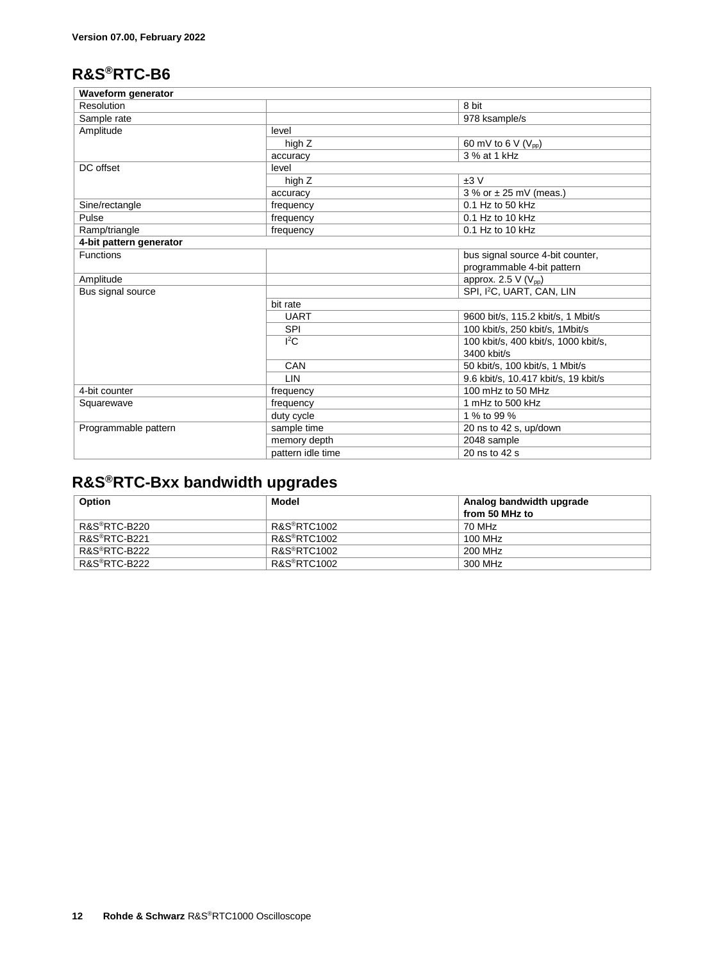### <span id="page-11-0"></span>**R&S®RTC-B6**

| <b>Waveform generator</b> |                   |                                       |  |
|---------------------------|-------------------|---------------------------------------|--|
| Resolution                |                   | 8 bit                                 |  |
| Sample rate               |                   | 978 ksample/s                         |  |
| Amplitude                 | level             |                                       |  |
|                           | high Z            | 60 mV to 6 V $(V_{pp})$               |  |
|                           | accuracy          | 3 % at 1 kHz                          |  |
| DC offset                 | level             |                                       |  |
|                           | high Z            | ±3V                                   |  |
|                           | accuracy          | $3%$ or $\pm$ 25 mV (meas.)           |  |
| Sine/rectangle            | frequency         | $0.1$ Hz to 50 kHz                    |  |
| Pulse                     | frequency         | $0.1$ Hz to 10 kHz                    |  |
| Ramp/triangle             | frequency         | 0.1 Hz to 10 kHz                      |  |
| 4-bit pattern generator   |                   |                                       |  |
| <b>Functions</b>          |                   | bus signal source 4-bit counter,      |  |
|                           |                   | programmable 4-bit pattern            |  |
| Amplitude                 |                   | approx. 2.5 $V(V_{pp})$               |  |
| Bus signal source         |                   | SPI, I <sup>2</sup> C, UART, CAN, LIN |  |
|                           | bit rate          |                                       |  |
|                           | <b>UART</b>       | 9600 bit/s, 115.2 kbit/s, 1 Mbit/s    |  |
|                           | <b>SPI</b>        | 100 kbit/s, 250 kbit/s, 1Mbit/s       |  |
|                           | ${}^{12}$ C       | 100 kbit/s, 400 kbit/s, 1000 kbit/s,  |  |
|                           |                   | 3400 kbit/s                           |  |
|                           | CAN               | 50 kbit/s, 100 kbit/s, 1 Mbit/s       |  |
|                           | <b>LIN</b>        | 9.6 kbit/s, 10.417 kbit/s, 19 kbit/s  |  |
| 4-bit counter             | frequency         | 100 mHz to 50 MHz                     |  |
| Squarewave                | frequency         | 1 mHz to 500 kHz                      |  |
|                           | duty cycle        | 1 % to 99 %                           |  |
| Programmable pattern      | sample time       | 20 ns to 42 s, up/down                |  |
|                           | memory depth      | 2048 sample                           |  |
|                           | pattern idle time | 20 ns to 42 s                         |  |

### <span id="page-11-1"></span>**R&S®RTC-Bxx bandwidth upgrades**

| Option                    | Model                    | Analog bandwidth upgrade |
|---------------------------|--------------------------|--------------------------|
|                           |                          | from 50 MHz to           |
| R&S®RTC-B220              | R&S <sup>®</sup> RTC1002 | 70 MHz                   |
| R&S <sup>®</sup> RTC-B221 | R&S <sup>®</sup> RTC1002 | 100 MHz                  |
| R&S®RTC-B222              | <b>R&amp;S®RTC1002</b>   | 200 MHz                  |
| R&S®RTC-B222              | R&S <sup>®</sup> RTC1002 | 300 MHz                  |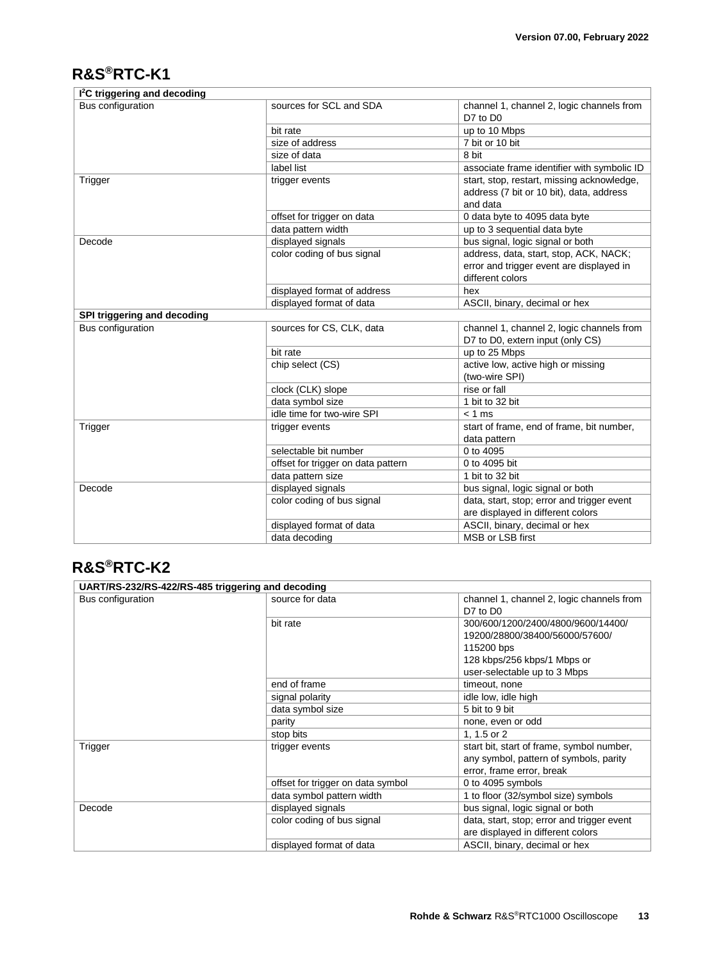### <span id="page-12-0"></span>**R&S®RTC-K1**

| I <sup>2</sup> C triggering and decoding |                                    |                                                                                                        |
|------------------------------------------|------------------------------------|--------------------------------------------------------------------------------------------------------|
| Bus configuration                        | sources for SCL and SDA            | channel 1, channel 2, logic channels from<br>D7 to D0                                                  |
|                                          | bit rate                           | up to 10 Mbps                                                                                          |
|                                          | size of address                    | 7 bit or 10 bit                                                                                        |
|                                          | size of data                       | 8 bit                                                                                                  |
|                                          | label list                         | associate frame identifier with symbolic ID                                                            |
| Trigger                                  | trigger events                     | start, stop, restart, missing acknowledge,<br>address (7 bit or 10 bit), data, address<br>and data     |
|                                          | offset for trigger on data         | 0 data byte to 4095 data byte                                                                          |
|                                          | data pattern width                 | up to 3 sequential data byte                                                                           |
| Decode                                   | displayed signals                  | bus signal, logic signal or both                                                                       |
|                                          | color coding of bus signal         | address, data, start, stop, ACK, NACK;<br>error and trigger event are displayed in<br>different colors |
|                                          | displayed format of address        | hex                                                                                                    |
|                                          | displayed format of data           | ASCII, binary, decimal or hex                                                                          |
| SPI triggering and decoding              |                                    |                                                                                                        |
| Bus configuration                        | sources for CS, CLK, data          | channel 1, channel 2, logic channels from<br>D7 to D0, extern input (only CS)                          |
|                                          | bit rate                           | up to 25 Mbps                                                                                          |
|                                          | chip select (CS)                   | active low, active high or missing<br>(two-wire SPI)                                                   |
|                                          | clock (CLK) slope                  | rise or fall                                                                                           |
|                                          | data symbol size                   | 1 bit to 32 bit                                                                                        |
|                                          | idle time for two-wire SPI         | $< 1$ ms                                                                                               |
| Trigger                                  | trigger events                     | start of frame, end of frame, bit number,                                                              |
|                                          |                                    | data pattern                                                                                           |
|                                          | selectable bit number              | 0 to 4095                                                                                              |
|                                          | offset for trigger on data pattern | 0 to 4095 bit                                                                                          |
|                                          | data pattern size                  | 1 bit to 32 bit                                                                                        |
| Decode                                   | displayed signals                  | bus signal, logic signal or both                                                                       |
|                                          | color coding of bus signal         | data, start, stop; error and trigger event<br>are displayed in different colors                        |
|                                          | displayed format of data           | ASCII, binary, decimal or hex                                                                          |
|                                          | data decoding                      | MSB or LSB first                                                                                       |

#### <span id="page-12-1"></span>**R&S®RTC-K2**

| UART/RS-232/RS-422/RS-485 triggering and decoding |                                   |                                            |
|---------------------------------------------------|-----------------------------------|--------------------------------------------|
| Bus configuration                                 | source for data                   | channel 1, channel 2, logic channels from  |
|                                                   |                                   | D7 to D0                                   |
|                                                   | bit rate                          | 300/600/1200/2400/4800/9600/14400/         |
|                                                   |                                   | 19200/28800/38400/56000/57600/             |
|                                                   |                                   | 115200 bps                                 |
|                                                   |                                   | 128 kbps/256 kbps/1 Mbps or                |
|                                                   |                                   | user-selectable up to 3 Mbps               |
|                                                   | end of frame                      | timeout, none                              |
|                                                   | signal polarity                   | idle low, idle high                        |
|                                                   | data symbol size                  | 5 bit to 9 bit                             |
|                                                   | parity                            | none, even or odd                          |
|                                                   | stop bits                         | 1, 1.5 or 2                                |
| Trigger                                           | trigger events                    | start bit, start of frame, symbol number,  |
|                                                   |                                   | any symbol, pattern of symbols, parity     |
|                                                   |                                   | error, frame error, break                  |
|                                                   | offset for trigger on data symbol | 0 to 4095 symbols                          |
|                                                   | data symbol pattern width         | 1 to floor (32/symbol size) symbols        |
| Decode                                            | displayed signals                 | bus signal, logic signal or both           |
|                                                   | color coding of bus signal        | data, start, stop; error and trigger event |
|                                                   |                                   | are displayed in different colors          |
|                                                   | displayed format of data          | ASCII, binary, decimal or hex              |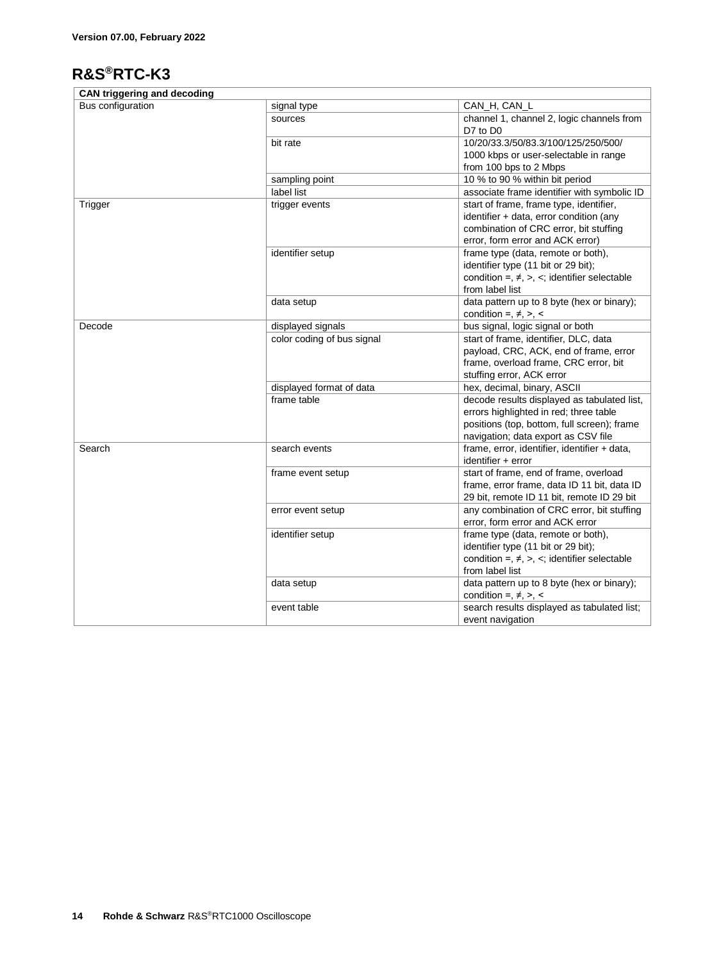### <span id="page-13-0"></span>**R&S®RTC-K3**

| <b>CAN triggering and decoding</b> |                            |                                                                                       |
|------------------------------------|----------------------------|---------------------------------------------------------------------------------------|
| Bus configuration                  | signal type                | CAN_H, CAN_L                                                                          |
|                                    | sources                    | channel 1, channel 2, logic channels from<br>D7 to D0                                 |
|                                    | bit rate                   | 10/20/33.3/50/83.3/100/125/250/500/                                                   |
|                                    |                            | 1000 kbps or user-selectable in range                                                 |
|                                    |                            | from 100 bps to 2 Mbps                                                                |
|                                    | sampling point             | 10 % to 90 % within bit period                                                        |
|                                    | label list                 | associate frame identifier with symbolic ID                                           |
| Trigger                            | trigger events             | start of frame, frame type, identifier,                                               |
|                                    |                            | identifier + data, error condition (any                                               |
|                                    |                            | combination of CRC error, bit stuffing                                                |
|                                    |                            | error, form error and ACK error)                                                      |
|                                    | identifier setup           | frame type (data, remote or both),                                                    |
|                                    |                            | identifier type (11 bit or 29 bit);                                                   |
|                                    |                            | condition =, $\neq$ , >, <; identifier selectable<br>from label list                  |
|                                    | data setup                 | data pattern up to 8 byte (hex or binary);                                            |
|                                    |                            | condition =, $\neq$ , >, <                                                            |
| Decode                             | displayed signals          | bus signal, logic signal or both                                                      |
|                                    | color coding of bus signal | start of frame, identifier, DLC, data                                                 |
|                                    |                            | payload, CRC, ACK, end of frame, error                                                |
|                                    |                            | frame, overload frame, CRC error, bit                                                 |
|                                    |                            | stuffing error, ACK error                                                             |
|                                    | displayed format of data   | hex, decimal, binary, ASCII                                                           |
|                                    | frame table                | decode results displayed as tabulated list,                                           |
|                                    |                            | errors highlighted in red; three table<br>positions (top, bottom, full screen); frame |
|                                    |                            | navigation; data export as CSV file                                                   |
| Search                             | search events              | frame, error, identifier, identifier + data,                                          |
|                                    |                            | $identifier + error$                                                                  |
|                                    | frame event setup          | start of frame, end of frame, overload                                                |
|                                    |                            | frame, error frame, data ID 11 bit, data ID                                           |
|                                    |                            | 29 bit, remote ID 11 bit, remote ID 29 bit                                            |
|                                    | error event setup          | any combination of CRC error, bit stuffing                                            |
|                                    |                            | error, form error and ACK error                                                       |
|                                    | identifier setup           | frame type (data, remote or both),                                                    |
|                                    |                            | identifier type (11 bit or 29 bit);                                                   |
|                                    |                            | condition =, $\neq$ , $\gt$ , $\lt$ ; identifier selectable                           |
|                                    |                            | from label list                                                                       |
|                                    | data setup                 | data pattern up to 8 byte (hex or binary);<br>condition =, $\neq$ , $\geq$ , $\lt$    |
|                                    | event table                | search results displayed as tabulated list;                                           |
|                                    |                            | event navigation                                                                      |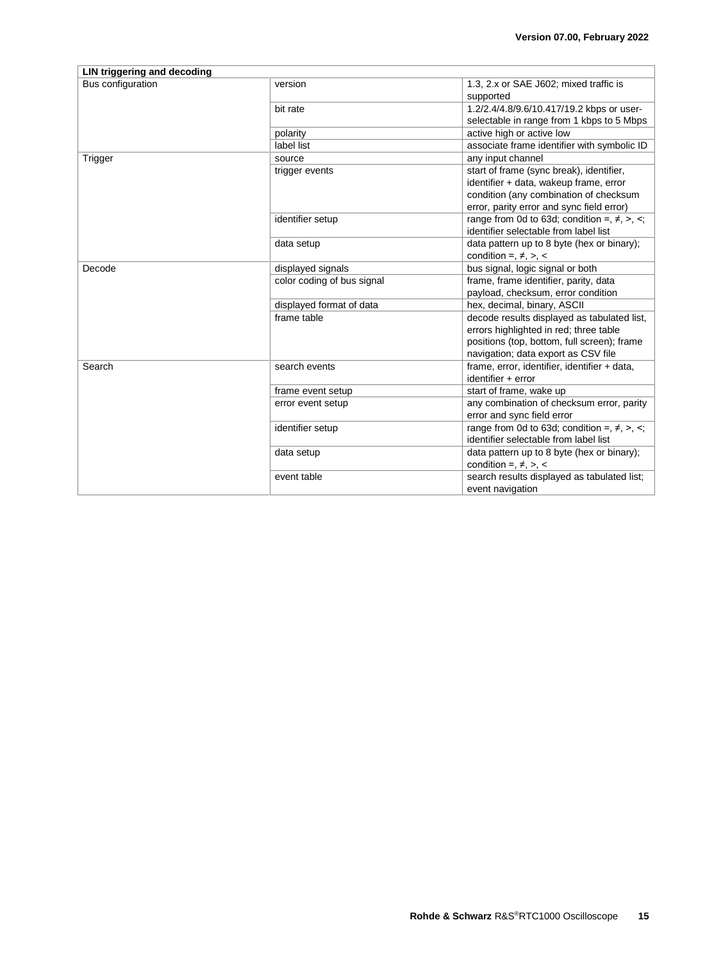| LIN triggering and decoding |                            |                                                               |  |  |
|-----------------------------|----------------------------|---------------------------------------------------------------|--|--|
| Bus configuration           | version                    | 1.3, 2.x or SAE J602; mixed traffic is<br>supported           |  |  |
|                             | bit rate                   | 1.2/2.4/4.8/9.6/10.417/19.2 kbps or user-                     |  |  |
|                             |                            | selectable in range from 1 kbps to 5 Mbps                     |  |  |
|                             | polarity                   | active high or active low                                     |  |  |
|                             | label list                 | associate frame identifier with symbolic ID                   |  |  |
| Trigger                     | source                     | any input channel                                             |  |  |
|                             | trigger events             | start of frame (sync break), identifier,                      |  |  |
|                             |                            | identifier + data, wakeup frame, error                        |  |  |
|                             |                            | condition (any combination of checksum                        |  |  |
|                             |                            | error, parity error and sync field error)                     |  |  |
|                             | identifier setup           | range from 0d to 63d; condition =, $\neq$ , $\geq$ , $\leq$ ; |  |  |
|                             |                            | identifier selectable from label list                         |  |  |
|                             | data setup                 | data pattern up to 8 byte (hex or binary);                    |  |  |
|                             |                            | condition =, $\neq$ , $\gt$ , $\lt$                           |  |  |
| Decode                      | displayed signals          | bus signal, logic signal or both                              |  |  |
|                             | color coding of bus signal | frame, frame identifier, parity, data                         |  |  |
|                             |                            | payload, checksum, error condition                            |  |  |
|                             | displayed format of data   | hex, decimal, binary, ASCII                                   |  |  |
|                             | frame table                | decode results displayed as tabulated list,                   |  |  |
|                             |                            | errors highlighted in red; three table                        |  |  |
|                             |                            | positions (top, bottom, full screen); frame                   |  |  |
|                             |                            | navigation; data export as CSV file                           |  |  |
| Search                      | search events              | frame, error, identifier, identifier + data,                  |  |  |
|                             |                            | $identifier + error$                                          |  |  |
|                             | frame event setup          | start of frame, wake up                                       |  |  |
|                             | error event setup          | any combination of checksum error, parity                     |  |  |
|                             |                            | error and sync field error                                    |  |  |
|                             | identifier setup           | range from 0d to 63d; condition =, $\neq$ , $\geq$ , $\leq$ ; |  |  |
|                             |                            | identifier selectable from label list                         |  |  |
|                             | data setup                 | data pattern up to 8 byte (hex or binary);                    |  |  |
|                             |                            | condition =, $\neq$ , $\geq$ , $\lt$                          |  |  |
|                             | event table                | search results displayed as tabulated list;                   |  |  |
|                             |                            | event navigation                                              |  |  |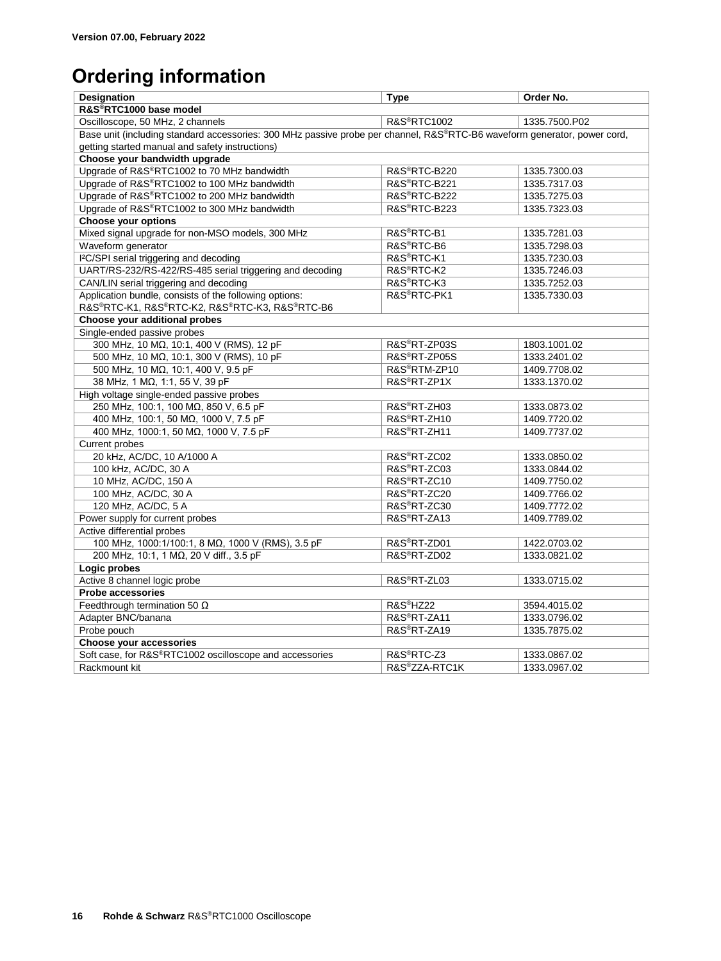# <span id="page-15-0"></span>**Ordering information**

| R&S®RTC1000 base model<br>Oscilloscope, 50 MHz, 2 channels<br><b>R&amp;S®RTC1002</b><br>1335.7500.P02<br>Base unit (including standard accessories: 300 MHz passive probe per channel, R&S®RTC-B6 waveform generator, power cord,<br>getting started manual and safety instructions)<br>Choose your bandwidth upgrade<br>Upgrade of R&S®RTC1002 to 70 MHz bandwidth<br>R&S®RTC-B220<br>1335.7300.03<br>Upgrade of R&S®RTC1002 to 100 MHz bandwidth<br>R&S®RTC-B221<br>1335.7317.03<br>Upgrade of R&S®RTC1002 to 200 MHz bandwidth<br>R&S <sup>®</sup> RTC-B222<br>1335.7275.03<br>R&S®RTC-B223<br>Upgrade of R&S®RTC1002 to 300 MHz bandwidth<br>1335.7323.03<br><b>Choose your options</b><br>Mixed signal upgrade for non-MSO models, 300 MHz<br>R&S®RTC-B1<br>1335.7281.03<br>R&S <sup>®</sup> RTC-B6<br>Waveform generator<br>1335.7298.03<br>I <sup>2</sup> C/SPI serial triggering and decoding<br>R&S <sup>®</sup> RTC-K1<br>1335.7230.03<br>UART/RS-232/RS-422/RS-485 serial triggering and decoding<br>R&S <sup>®</sup> RTC-K2<br>1335.7246.03<br>CAN/LIN serial triggering and decoding<br>R&S <sup>®</sup> RTC-K3<br>1335.7252.03<br>Application bundle, consists of the following options:<br>R&S <sup>®</sup> RTC-PK1<br>1335.7330.03<br>R&S®RTC-K1, R&S®RTC-K2, R&S®RTC-K3, R&S®RTC-B6<br>Choose your additional probes<br>Single-ended passive probes<br>300 MHz, 10 MΩ, 10:1, 400 V (RMS), 12 pF<br>R&S®RT-ZP03S<br>1803.1001.02<br>R&S®RT-ZP05S |  |  |  |  |
|------------------------------------------------------------------------------------------------------------------------------------------------------------------------------------------------------------------------------------------------------------------------------------------------------------------------------------------------------------------------------------------------------------------------------------------------------------------------------------------------------------------------------------------------------------------------------------------------------------------------------------------------------------------------------------------------------------------------------------------------------------------------------------------------------------------------------------------------------------------------------------------------------------------------------------------------------------------------------------------------------------------------------------------------------------------------------------------------------------------------------------------------------------------------------------------------------------------------------------------------------------------------------------------------------------------------------------------------------------------------------------------------------------------------------------------------------------------|--|--|--|--|
|                                                                                                                                                                                                                                                                                                                                                                                                                                                                                                                                                                                                                                                                                                                                                                                                                                                                                                                                                                                                                                                                                                                                                                                                                                                                                                                                                                                                                                                                  |  |  |  |  |
|                                                                                                                                                                                                                                                                                                                                                                                                                                                                                                                                                                                                                                                                                                                                                                                                                                                                                                                                                                                                                                                                                                                                                                                                                                                                                                                                                                                                                                                                  |  |  |  |  |
|                                                                                                                                                                                                                                                                                                                                                                                                                                                                                                                                                                                                                                                                                                                                                                                                                                                                                                                                                                                                                                                                                                                                                                                                                                                                                                                                                                                                                                                                  |  |  |  |  |
|                                                                                                                                                                                                                                                                                                                                                                                                                                                                                                                                                                                                                                                                                                                                                                                                                                                                                                                                                                                                                                                                                                                                                                                                                                                                                                                                                                                                                                                                  |  |  |  |  |
|                                                                                                                                                                                                                                                                                                                                                                                                                                                                                                                                                                                                                                                                                                                                                                                                                                                                                                                                                                                                                                                                                                                                                                                                                                                                                                                                                                                                                                                                  |  |  |  |  |
|                                                                                                                                                                                                                                                                                                                                                                                                                                                                                                                                                                                                                                                                                                                                                                                                                                                                                                                                                                                                                                                                                                                                                                                                                                                                                                                                                                                                                                                                  |  |  |  |  |
|                                                                                                                                                                                                                                                                                                                                                                                                                                                                                                                                                                                                                                                                                                                                                                                                                                                                                                                                                                                                                                                                                                                                                                                                                                                                                                                                                                                                                                                                  |  |  |  |  |
|                                                                                                                                                                                                                                                                                                                                                                                                                                                                                                                                                                                                                                                                                                                                                                                                                                                                                                                                                                                                                                                                                                                                                                                                                                                                                                                                                                                                                                                                  |  |  |  |  |
|                                                                                                                                                                                                                                                                                                                                                                                                                                                                                                                                                                                                                                                                                                                                                                                                                                                                                                                                                                                                                                                                                                                                                                                                                                                                                                                                                                                                                                                                  |  |  |  |  |
|                                                                                                                                                                                                                                                                                                                                                                                                                                                                                                                                                                                                                                                                                                                                                                                                                                                                                                                                                                                                                                                                                                                                                                                                                                                                                                                                                                                                                                                                  |  |  |  |  |
|                                                                                                                                                                                                                                                                                                                                                                                                                                                                                                                                                                                                                                                                                                                                                                                                                                                                                                                                                                                                                                                                                                                                                                                                                                                                                                                                                                                                                                                                  |  |  |  |  |
|                                                                                                                                                                                                                                                                                                                                                                                                                                                                                                                                                                                                                                                                                                                                                                                                                                                                                                                                                                                                                                                                                                                                                                                                                                                                                                                                                                                                                                                                  |  |  |  |  |
|                                                                                                                                                                                                                                                                                                                                                                                                                                                                                                                                                                                                                                                                                                                                                                                                                                                                                                                                                                                                                                                                                                                                                                                                                                                                                                                                                                                                                                                                  |  |  |  |  |
|                                                                                                                                                                                                                                                                                                                                                                                                                                                                                                                                                                                                                                                                                                                                                                                                                                                                                                                                                                                                                                                                                                                                                                                                                                                                                                                                                                                                                                                                  |  |  |  |  |
|                                                                                                                                                                                                                                                                                                                                                                                                                                                                                                                                                                                                                                                                                                                                                                                                                                                                                                                                                                                                                                                                                                                                                                                                                                                                                                                                                                                                                                                                  |  |  |  |  |
|                                                                                                                                                                                                                                                                                                                                                                                                                                                                                                                                                                                                                                                                                                                                                                                                                                                                                                                                                                                                                                                                                                                                                                                                                                                                                                                                                                                                                                                                  |  |  |  |  |
|                                                                                                                                                                                                                                                                                                                                                                                                                                                                                                                                                                                                                                                                                                                                                                                                                                                                                                                                                                                                                                                                                                                                                                                                                                                                                                                                                                                                                                                                  |  |  |  |  |
|                                                                                                                                                                                                                                                                                                                                                                                                                                                                                                                                                                                                                                                                                                                                                                                                                                                                                                                                                                                                                                                                                                                                                                                                                                                                                                                                                                                                                                                                  |  |  |  |  |
|                                                                                                                                                                                                                                                                                                                                                                                                                                                                                                                                                                                                                                                                                                                                                                                                                                                                                                                                                                                                                                                                                                                                                                                                                                                                                                                                                                                                                                                                  |  |  |  |  |
|                                                                                                                                                                                                                                                                                                                                                                                                                                                                                                                                                                                                                                                                                                                                                                                                                                                                                                                                                                                                                                                                                                                                                                                                                                                                                                                                                                                                                                                                  |  |  |  |  |
| 500 MHz, 10 MΩ, 10:1, 300 V (RMS), 10 pF<br>1333.2401.02<br>R&S <sup>®</sup> RTM-ZP10                                                                                                                                                                                                                                                                                                                                                                                                                                                                                                                                                                                                                                                                                                                                                                                                                                                                                                                                                                                                                                                                                                                                                                                                                                                                                                                                                                            |  |  |  |  |
| 500 MHz, 10 MΩ, 10:1, 400 V, 9.5 pF<br>1409.7708.02                                                                                                                                                                                                                                                                                                                                                                                                                                                                                                                                                                                                                                                                                                                                                                                                                                                                                                                                                                                                                                                                                                                                                                                                                                                                                                                                                                                                              |  |  |  |  |
| 38 MHz, 1 MΩ, 1:1, 55 V, 39 pF<br>R&S®RT-ZP1X<br>1333.1370.02<br>High voltage single-ended passive probes                                                                                                                                                                                                                                                                                                                                                                                                                                                                                                                                                                                                                                                                                                                                                                                                                                                                                                                                                                                                                                                                                                                                                                                                                                                                                                                                                        |  |  |  |  |
| 250 MHz, 100:1, 100 MΩ, 850 V, 6.5 pF<br>R&S®RT-ZH03<br>1333.0873.02                                                                                                                                                                                                                                                                                                                                                                                                                                                                                                                                                                                                                                                                                                                                                                                                                                                                                                                                                                                                                                                                                                                                                                                                                                                                                                                                                                                             |  |  |  |  |
| R&S®RT-ZH10<br>400 MHz, 100:1, 50 MΩ, 1000 V, 7.5 pF<br>1409.7720.02                                                                                                                                                                                                                                                                                                                                                                                                                                                                                                                                                                                                                                                                                                                                                                                                                                                                                                                                                                                                                                                                                                                                                                                                                                                                                                                                                                                             |  |  |  |  |
| R&S <sup>®</sup> RT-ZH11<br>400 MHz, 1000:1, 50 MΩ, 1000 V, 7.5 pF<br>1409.7737.02                                                                                                                                                                                                                                                                                                                                                                                                                                                                                                                                                                                                                                                                                                                                                                                                                                                                                                                                                                                                                                                                                                                                                                                                                                                                                                                                                                               |  |  |  |  |
| Current probes                                                                                                                                                                                                                                                                                                                                                                                                                                                                                                                                                                                                                                                                                                                                                                                                                                                                                                                                                                                                                                                                                                                                                                                                                                                                                                                                                                                                                                                   |  |  |  |  |
| 20 kHz, AC/DC, 10 A/1000 A<br>R&S®RT-ZC02<br>1333.0850.02                                                                                                                                                                                                                                                                                                                                                                                                                                                                                                                                                                                                                                                                                                                                                                                                                                                                                                                                                                                                                                                                                                                                                                                                                                                                                                                                                                                                        |  |  |  |  |
| R&S®RT-ZC03<br>100 kHz, AC/DC, 30 A<br>1333.0844.02                                                                                                                                                                                                                                                                                                                                                                                                                                                                                                                                                                                                                                                                                                                                                                                                                                                                                                                                                                                                                                                                                                                                                                                                                                                                                                                                                                                                              |  |  |  |  |
| R&S <sup>®</sup> RT-ZC10<br>10 MHz, AC/DC, 150 A<br>1409.7750.02                                                                                                                                                                                                                                                                                                                                                                                                                                                                                                                                                                                                                                                                                                                                                                                                                                                                                                                                                                                                                                                                                                                                                                                                                                                                                                                                                                                                 |  |  |  |  |
| R&S <sup>®</sup> RT-ZC20<br>100 MHz, AC/DC, 30 A<br>1409.7766.02                                                                                                                                                                                                                                                                                                                                                                                                                                                                                                                                                                                                                                                                                                                                                                                                                                                                                                                                                                                                                                                                                                                                                                                                                                                                                                                                                                                                 |  |  |  |  |
| R&S <sup>®</sup> RT-ZC30<br>120 MHz, AC/DC, 5 A<br>1409.7772.02                                                                                                                                                                                                                                                                                                                                                                                                                                                                                                                                                                                                                                                                                                                                                                                                                                                                                                                                                                                                                                                                                                                                                                                                                                                                                                                                                                                                  |  |  |  |  |
| Power supply for current probes<br>R&S <sup>®</sup> RT-ZA13<br>1409.7789.02                                                                                                                                                                                                                                                                                                                                                                                                                                                                                                                                                                                                                                                                                                                                                                                                                                                                                                                                                                                                                                                                                                                                                                                                                                                                                                                                                                                      |  |  |  |  |
| Active differential probes                                                                                                                                                                                                                                                                                                                                                                                                                                                                                                                                                                                                                                                                                                                                                                                                                                                                                                                                                                                                                                                                                                                                                                                                                                                                                                                                                                                                                                       |  |  |  |  |
| R&S <sup>®</sup> RT-ZD01<br>100 MHz, 1000:1/100:1, 8 MΩ, 1000 V (RMS), 3.5 pF<br>1422.0703.02                                                                                                                                                                                                                                                                                                                                                                                                                                                                                                                                                                                                                                                                                                                                                                                                                                                                                                                                                                                                                                                                                                                                                                                                                                                                                                                                                                    |  |  |  |  |
| R&S <sup>®</sup> RT-ZD02<br>200 MHz, 10:1, 1 MΩ, 20 V diff., 3.5 pF<br>1333.0821.02                                                                                                                                                                                                                                                                                                                                                                                                                                                                                                                                                                                                                                                                                                                                                                                                                                                                                                                                                                                                                                                                                                                                                                                                                                                                                                                                                                              |  |  |  |  |
| Logic probes                                                                                                                                                                                                                                                                                                                                                                                                                                                                                                                                                                                                                                                                                                                                                                                                                                                                                                                                                                                                                                                                                                                                                                                                                                                                                                                                                                                                                                                     |  |  |  |  |
| Active 8 channel logic probe<br>R&S®RT-ZL03<br>1333.0715.02                                                                                                                                                                                                                                                                                                                                                                                                                                                                                                                                                                                                                                                                                                                                                                                                                                                                                                                                                                                                                                                                                                                                                                                                                                                                                                                                                                                                      |  |  |  |  |
| <b>Probe accessories</b>                                                                                                                                                                                                                                                                                                                                                                                                                                                                                                                                                                                                                                                                                                                                                                                                                                                                                                                                                                                                                                                                                                                                                                                                                                                                                                                                                                                                                                         |  |  |  |  |
| R&S <sup>®</sup> HZ22<br>Feedthrough termination 50 $\Omega$<br>3594.4015.02                                                                                                                                                                                                                                                                                                                                                                                                                                                                                                                                                                                                                                                                                                                                                                                                                                                                                                                                                                                                                                                                                                                                                                                                                                                                                                                                                                                     |  |  |  |  |
| R&S®RT-ZA11<br>Adapter BNC/banana<br>1333.0796.02                                                                                                                                                                                                                                                                                                                                                                                                                                                                                                                                                                                                                                                                                                                                                                                                                                                                                                                                                                                                                                                                                                                                                                                                                                                                                                                                                                                                                |  |  |  |  |
| R&S®RT-ZA19<br>Probe pouch<br>1335.7875.02                                                                                                                                                                                                                                                                                                                                                                                                                                                                                                                                                                                                                                                                                                                                                                                                                                                                                                                                                                                                                                                                                                                                                                                                                                                                                                                                                                                                                       |  |  |  |  |
| Choose your accessories                                                                                                                                                                                                                                                                                                                                                                                                                                                                                                                                                                                                                                                                                                                                                                                                                                                                                                                                                                                                                                                                                                                                                                                                                                                                                                                                                                                                                                          |  |  |  |  |
| Soft case, for R&S®RTC1002 oscilloscope and accessories<br>R&S®RTC-Z3<br>1333.0867.02                                                                                                                                                                                                                                                                                                                                                                                                                                                                                                                                                                                                                                                                                                                                                                                                                                                                                                                                                                                                                                                                                                                                                                                                                                                                                                                                                                            |  |  |  |  |
| R&S®ZZA-RTC1K<br>Rackmount kit<br>1333.0967.02                                                                                                                                                                                                                                                                                                                                                                                                                                                                                                                                                                                                                                                                                                                                                                                                                                                                                                                                                                                                                                                                                                                                                                                                                                                                                                                                                                                                                   |  |  |  |  |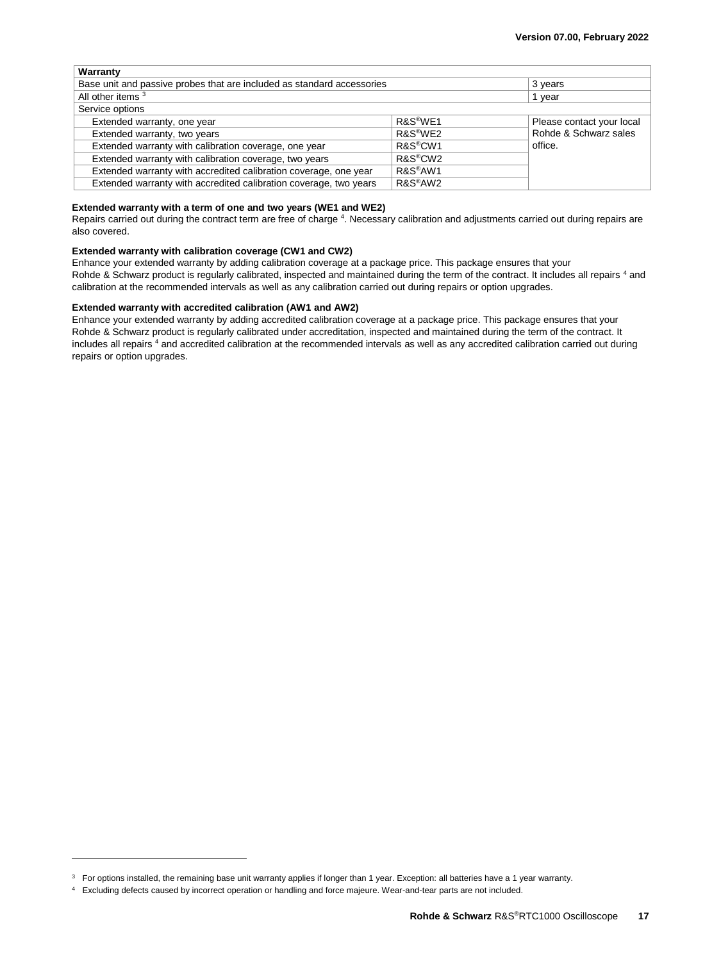| Warranty                                                               |                      |                           |  |  |
|------------------------------------------------------------------------|----------------------|---------------------------|--|--|
| Base unit and passive probes that are included as standard accessories | 3 years              |                           |  |  |
| All other items 3                                                      | 1 vear               |                           |  |  |
| Service options                                                        |                      |                           |  |  |
| Extended warranty, one year                                            | R&S <sup>®</sup> WE1 | Please contact your local |  |  |
| Extended warranty, two years                                           | R&S <sup>®</sup> WE2 | Rohde & Schwarz sales     |  |  |
| Extended warranty with calibration coverage, one year                  | R&S <sup>®</sup> CW1 | office.                   |  |  |
| Extended warranty with calibration coverage, two years                 | R&S <sup>®</sup> CW2 |                           |  |  |
| Extended warranty with accredited calibration coverage, one year       | R&S <sup>®</sup> AW1 |                           |  |  |
| Extended warranty with accredited calibration coverage, two years      | R&S <sup>®</sup> AW2 |                           |  |  |

#### **Extended warranty with a term of one and two years (WE1 and WE2)**

<span id="page-16-0"></span>Repairs carried out during the contract term are free of charge <sup>4</sup>. Necessary calibration and adjustments carried out during repairs are also covered.

#### **Extended warranty with calibration coverage (CW1 and CW2)**

Enhance your extended warranty by adding calibration coverage at a package price. This package ensures that your Rohde & Schwarz product is regularly calibrated, inspected and maintained during the term of the contract. It includes all repairs [4](#page-16-0) and calibration at the recommended intervals as well as any calibration carried out during repairs or option upgrades.

#### **Extended warranty with accredited calibration (AW1 and AW2)**

Enhance your extended warranty by adding accredited calibration coverage at a package price. This package ensures that your Rohde & Schwarz product is regularly calibrated under accreditation, inspected and maintained during the term of the contract. It includes all repairs <sup>[4](#page-16-0)</sup> and accredited calibration at the recommended intervals as well as any accredited calibration carried out during repairs or option upgrades.

l

 $3$  For options installed, the remaining base unit warranty applies if longer than 1 year. Exception: all batteries have a 1 year warranty.

<sup>4</sup> Excluding defects caused by incorrect operation or handling and force majeure. Wear-and-tear parts are not included.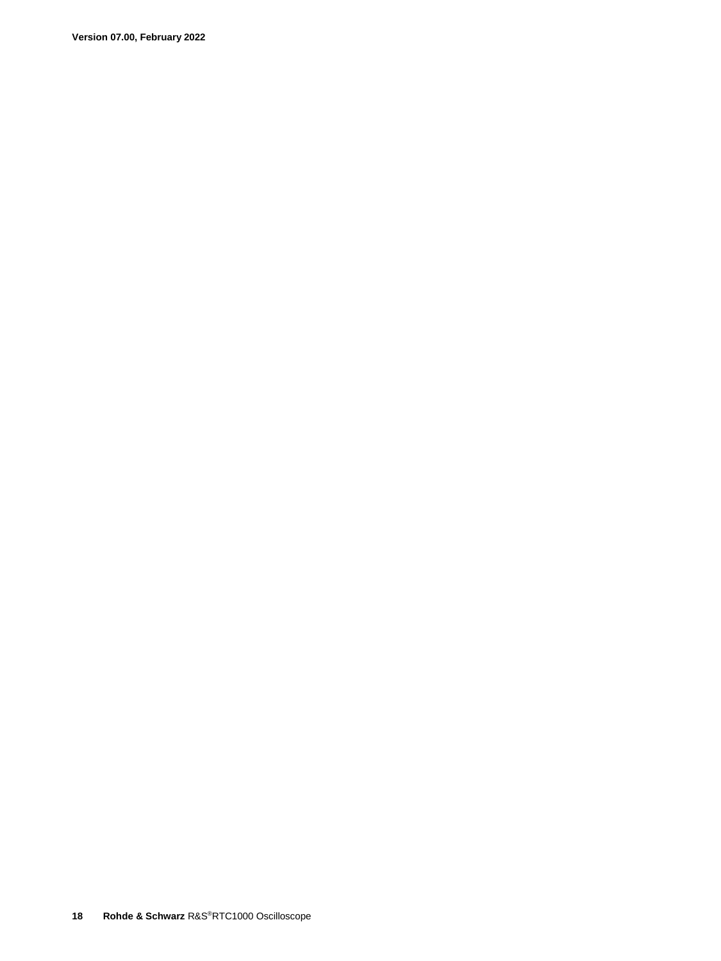**Version 07.00, February 2022**